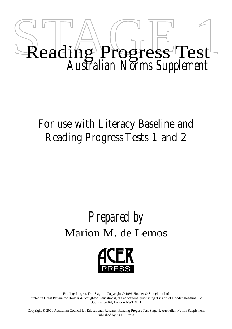

For use with Literacy Baseline and Reading Progress Tests 1 and 2

# *Prepared by* Marion M. de Lemos



Reading Progess Test Stage 1, Copyright © 1996 Hodder & Stoughton Ltd Printed in Great Britain for Hodder & Stoughton Educational, the educational publishing division of Hodder Headline Plc, 338 Euston Rd, London NW1 3BH

Copyright © 2000 Australian Council for Educational Research Reading Progess Test Stage 1, Australian Norms Supplement Published by ACER Press.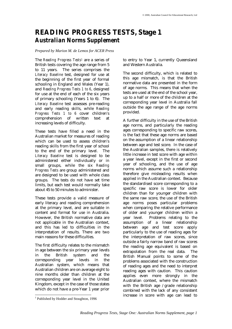# **READING PROGRESS TESTS, Stage 1** *Australian Norms Supplement*

### *Prepared by Marion M. de Lemos for ACER Press*

The *Reading Progress Tests1* are a series of British tests covering the age range from 5 to 11 years. The series comprises the *Literacy Baseline* test, designed for use at the beginning of the first year of formal schooling in England and Wales (Year 1), and *Reading Progress Tests 1 to 6*, designed for use at the end of each of the six years of primary schooling (Years 1 to 6). The *Literacy Baseline* test assesses pre-reading and early reading skills, while *Reading Progress Tests 1 to 6* cover children's comprehension of written text at increasing levels of difficulty.

These tests have filled a need in the Australian market for measures of reading which can be used to assess children's reading skills from the first year of school to the end of the primary level. The *Literacy Baseline* test is designed to be administered either individually or in small groups, while the six *Reading Progress Tests* are group administered and are designed to be used with whole class groups. The tests do not have set time limits, but each test would normally take about 45 to 50 minutes to administer.

These tests provide a valid measure of early literacy and reading comprehension at the primary level, and are suitable in content and format for use in Australia. However, the British normative data are not applicable in the Australian context, and this has led to difficulties in the interpretation of results. There are two main reasons for these difficulties.

The first difficulty relates to the mismatch in age between the six primary year levels in the British system and the corresponding year levels in the Australian system, which means that Australian children are on average eight to nine months older than children at the corresponding year level in the United Kingdom, except in the case of those states which do not have a pre-Year 1 year prior

to entry to Year 1, currently Queensland and Western Australia.

The second difficulty, which is related to this age mismatch, is that the British normative data are presented in the form of age norms. This means that when the tests are used at the end of the school year, up to a half or more of the children at the corresponding year level in Australia fall outside the age range of the age norms provided.

A further difficulty in the use of the British age norms, and particularly the reading ages corresponding to specific raw scores, is the fact that these age norms are based on the assumption of a linear relationship between age and test score. In the case of the Australian samples, there is relatively little increase in test score with age within a year level, except in the first or second year of schooling, and the use of age norms which assume such a relationship therefore give misleading results when applied in the Australian context. Because the standardised score corresponding to a specific raw score is lower for older children than for younger children with the same raw score, the use of the British age norms poses particular problems when comparing the relative performance of older and younger children within a year level. Problems relating to the assumption of a linear relationship between age and test score apply particularly to the use of reading ages for the interpretation of raw scores, since outside a fairly narrow band of raw scores the reading age equivalent is based on extrapolation from the real data. The British Manual points to some of the problems associated with the construction of reading ages and the need to interpret reading ages with caution. This caution applies even more strongly in the Australian context, where the mismatch with the British age /grade relationship combined with the lack of any consistent increase in score with age can lead to

 1 Published by Hodder and Stoughton, 1996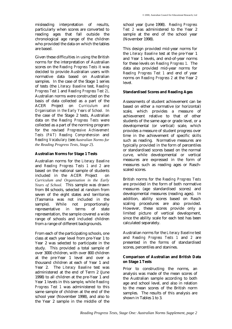misleading interpretation of results, particularly when scores are converted to reading ages that fall outside the chronological age range of the children who provided the data on which the tables are based.

Given these difficulties in using the British norms for the interpretation of Australian scores on the *Reading Progress Tests* it was decided to provide Australian users with normative data based on Australian samples. In the case of the Stage 1 series of tests (the *Literacy Baseline* test, *Reading Progress Test 1* and *Reading Progress Test 2)*, Australian norms were constructed on the basis of data collected as a part of the ACER Project on *Curriculum and Organisation in the Early Years of School.* In the case of the Stage 2 tests, Australian data on the *Reading Progress Tests* were collected as a part of the norming program for the revised *Progressive Achievement Tests (PAT) Reading Comprehension* and *Reading Vocabulary* (see *Australian Norms for the Reading Progress Tests, Stage 2*).

# **Australian Norms for Stage 1 Tests**

Australian norms for the *Literacy Baseline* and *Reading Progress Tests 1 and 2* are based on the national sample of students included in the ACER Project on *Curriculum and Organisation in the Early Years of School.* This sample was drawn from 84 schools, selected at random from seven of the eight states and territories (Tasmania was not included in the sample). While not proportionally representative in terms of state representation, the sample covered a wide range of schools and included children from a range of different backgrounds.

From each of the participating schools, one class at each year level from pre-Year 1 to Year 2 was selected to participate in the study. This provided a total sample of over 3000 children, with over 800 children at the pre-Year 1 level and over a thousand children at each of Year 1 and Year 2. The *Literacy Baseline* test was administered at the end of Term 2 (June 1998) to all children at the pre-Year 1 and Year 1 levels in this sample, while *Reading Progress Test 1* was administered to this same sample of children at the end of the school year (November 1998), and also to the Year 2 sample in the middle of the

school year (June 1998). *Reading Progress Test 2* was administered to the Year 2 sample at the end of the school year (November 1998).

This design provided mid-year norms for the *Literacy Baseline* test at the pre-Year 1 and Year 1 levels, and end-of-year norms for these levels on *Reading Progress 1.* The data also provided mid-year norms for *Reading Progress Test 1* and end of year norms on *Reading Progress 2* at the Year 2 level.

### **Standardised Scores and Reading Ages**

Assessments of student achievement can be based on either a normative (or horizontal) scale, which provides a measure of achievement relative to that of other students of the same age or grade level, or a developmental (or vertical) scale, which provides a measure of student progress over time in the achievement of specific skills such as reading. Normative measures are typically provided in the form of percentiles or standardised scores based on the normal curve, while developmental or vertical measures are expressed in the form of measures such as reading ages or Raschscaled scores.

British norms for the *Reading Progress Tests* are provided in the form of both normative measures (age standardised scores) and developmental measures (reading ages). In addition, ability scores based on Rasch scaling procedures are also provided. However, these scores provide only a limited picture of vertical development, since the ability scale for each test has been calculated separately.

Australian norms for the *Literacy Baseline* test and *Reading Progress Tests 1* and *2* are presented in the forms of standardised scores, percentiles and stanines.

#### **Comparison of Australian and British Data on Stage 1 Tests**

Prior to constructing the norms, an analysis was made of the mean scores of the Australian sample according to both age and school level, and also in relation to the mean scores of the British norm samples. The results of this analysis are shown in Tables 1 to 3.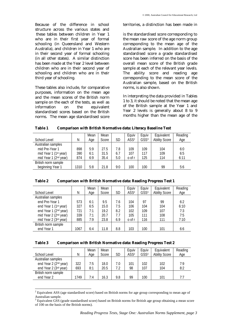Because of the difference in school structure across the various states and these tables between children in Year 1 who are in their first year of formal schooling (in Queensland and Western Australia), and children in Year 1 who are in their second year of formal schooling (in all other states). A similar distinction has been made at the Year 2 level between children who are in their second year of schooling and children who are in their third year of schooling.

These tables also include, for comparative purposes, information on the mean age and the mean scores of the British norm sample on the each of the tests, as well as information on the equivalent standardised scores based on the British norms. The mean age standardised score territories, a distinction has been made in

is the standardised score corresponding to the mean raw score of the age norm group corresponding to the mean age of the Australian sample. In addition to the age standardised score a grade standardised score has been inferred on the basis of the overall mean score of the British grade sample at each of the relevant year levels. The ability score and reading age corresponding to the mean score of the Australian sample, based on the British norms, is also shown.

In interpreting the data provided in Tables 1 to 3, it should be noted that the mean age of the British sample at the Year 1 and Year 2 levels is generally about 8 to 9 months higher than the mean age of the

**Table 1 Comparison with British Normative data: Literacy Baseline Test**

| School Level                      | N    | Mean<br>Age | Mean<br>Score | SD  | Eauiv<br>ASS <sup>2</sup> | Eauiv<br>GSS <sup>3</sup> | Equivalent<br><b>Ability Score</b> | Reading<br>Age |
|-----------------------------------|------|-------------|---------------|-----|---------------------------|---------------------------|------------------------------------|----------------|
| Australian samples                |      |             |               |     |                           |                           |                                    |                |
| mid Pre-Year 1                    | 898  | 5:9         | 27.5          | 7.8 | 109                       | 109                       | 104                                | 6:0            |
| mid Year 1 (1 <sup>st</sup> year) | 390  | 6:1         | 31.5          | 6.7 | 107                       | 117                       | 109                                | 6:5            |
| mid Year 1 (2 <sup>nd</sup> year) | 874  | 6:9         | 35.4          | 5.0 | o of r                    | 125                       | 114                                | 6:11           |
| British norm sample               |      |             |               |     |                           |                           |                                    |                |
| beginning Year 1                  | 1310 | 5:8         | 21.8          | 9:0 | 100                       | 100                       | 99                                 | 5:6            |

**Table 2 Comparison with British Normative data: Reading Progress Test 1**

|                                   |      | Mean | Mean  |     | Equiv            | Equiv            | Equivalent           | Reading |
|-----------------------------------|------|------|-------|-----|------------------|------------------|----------------------|---------|
| School Level                      | N    | Age  | Score | SD  | ASS <sup>2</sup> | GSS <sup>3</sup> | <b>Ability Score</b> | Age     |
| Australian samples                |      |      |       |     |                  |                  |                      |         |
| end Pre-Year 1                    | 573  | 6:1  | 9.5   | 7.6 | 104              | 97               | 99                   | 6:2     |
| end Year 1 (1st year)             | 327  | 6:5  | 15.0  | 7.5 | 106              | 104              | 104                  | 6:10    |
| end Year 1 (2 <sup>nd</sup> year) | 721  | 7:1  | 19.2  | 8.2 | 102              | 109              | 107                  | 7:3     |
| mid Year 2 (2 <sup>nd</sup> year) | 339  | 7:1  | 20.7  | 7.7 | 105              | 111              | 108                  | 7:5     |
| mid Year 2 (3rd year)             | 885  | 7:9  | 23.8  | 6.9 | o of r           | 116              | 111                  | 7:10    |
| British norm sample               |      |      |       |     |                  |                  |                      |         |
| end Year 1                        | 1067 | 6:4  | 11.8  | 8.8 | 103              | 100              | 101                  | 6:6     |

| Table 3 |  | <b>Comparison with British Normative data: Reading Progress Test 2</b> |  |  |  |
|---------|--|------------------------------------------------------------------------|--|--|--|
|---------|--|------------------------------------------------------------------------|--|--|--|

|                                   |      | Mean | Mean  |     | Eauiv            | Equiv            | Equivalent           | Reading |
|-----------------------------------|------|------|-------|-----|------------------|------------------|----------------------|---------|
| School Level                      | N    | Age  | Score | SD  | ASS <sup>2</sup> | GSS <sup>3</sup> | <b>Ability Score</b> | Age     |
| Australian samples                |      |      |       |     |                  |                  |                      |         |
| end Year 2 (2 <sup>nd</sup> year) | 322  | 7:5  | 18.0  | 7.0 | 101              | 102              | 102                  | 7:9     |
| end Year 2 (3rd year)             | 693  | 8:1  | 20.5  | 7.2 | 98               | 107              | 104                  | 8:2     |
| British norm sample               |      |      |       |     |                  |                  |                      |         |
| end Year 2                        | 1749 | 7:4  | 16.3  | 9.8 | 99               | 100              | 101                  | 7:7     |

<sup>&</sup>lt;sup>2</sup> Equivalent ASS (age standardised score) based on British norms for age group corresponding to mean age of Australian sample.<br> $3_{\text{Equivalent}}$  GSS

Equivalent GSS (grade standardised score) based on British norms for British age group obtaining a mean score of 100 on the basis of the British norms).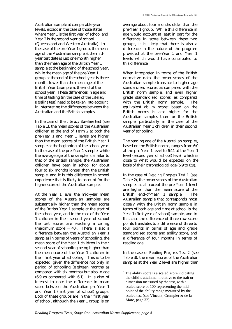Australian sample at comparable year levels, except in the case of those states where Year 1 is the first year of school and Year 2 is the second year of school (Queensland and Western Australia). In the case of the pre-Year 1 group, the mean age of the Australian sample at the midyear test date is just one month higher than the mean age of the British Year 1 sample at the beginning of the school year, while the mean age of the pre-Year 1 group at the end of the school year is three months lower than the mean age of the British Year 1 sample at the end of the school year. These differences in age and time of testing (in the case of the *Literacy Baseline* test) need to be taken into account in interpreting the differences between the Australian and the British samples.

In the case of the *Literacy Baseline* test (see Table 1), the mean scores of the Australian children at the end of Term 2 at both the pre-Year 1 and Year 1 levels are higher than the mean scores of the British Year 1 sample at the beginning of the school year. In the case of the pre-Year 1 sample, while the average age of the sample is similar to that of the British sample, the Australian children have been in school for about four to six months longer than the British sample, and it is this difference in school experience that is likely to account for the higher score of the Australian sample.

At the Year 1 level the mid-year mean scores of the Australian samples are substantially higher than the mean scores of the British Year 1 sample at the start of the school year, and in the case of the Year 1 children in their second year of school the test scores are reaching a ceiling (maximum score = 40). There is also a difference between the Australian Year 1 samples in terms of years of schooling, the mean score of the Year 1 children in their second year of schooling being higher than the mean score of the Year 1 children in their first year of schooling. This is to be expected, given the difference not only in period of schooling (eighteen months as compared with six months) but also in age (6:9 as compared with 6:1). It is also of interest to note the difference in mean score between the Australian pre-Year 1 and Year 1 (first year of school) groups. Both of these groups are in their first year of school, although the Year 1 group is on

average about four months older than the pre-Year 1 group. While this difference in age would account at least in part for the difference in score between these two groups, it is likely that there is also a difference in the nature of the program provided at the pre-Year 1 and Year 1 levels which would have contributed to this difference.

When interpreted in terms of the British normative data, the mean scores of the Australian sample translate to higher age standardised scores, as compared with the British norm sample, and even higher grade standardised scores, as compared with the British norm sample. The equivalent ability score4 based on the British norms is also higher for the Australian samples than for the British sample, particularly in the case of the Australian Year 1 children in their second year of schooling.

The reading age of the Australian samples, based on the British norms, ranges from 6:0 at the pre-Year 1 level to 6:11 at the Year 1 level (second year of school) level, which is close to what would be expected on the basis of their chronological age (5:9 to 6:9).

In the case of *Reading Progress Test 1* (see Table 2), the mean scores of the Australian samples at all except the pre-Year 1 level are higher than the mean score of the British end-of-Year 1 sample. The Australian sample that corresponds most closely with the British norm sample in terms of both age and time at school is the Year 1 (first year of school) sample, and in this case the difference of three raw score points translates to a difference of three to four points in terms of age and grade standardised scores and ability score, and a difference of four months in terms of reading age.

In the case of *Reading Progress Test 2* (see Table 3), the mean scores of the Australian samples at the Year 2 level are higher than

 $\overline{a}$ 

<sup>&</sup>lt;sup>4</sup> The ability score is a scaled score indicating the child's attainment relative to the trait or dimension measured by the test, with a scaled score of 100 representing the midpoint of the ability range measured by the scaled test (see Vincent, Crumpler & de la Mare, page 32).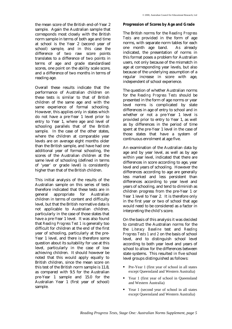the mean score of the British end-of-Year 2 sample. Again the Australian sample that corresponds most closely with the British norm sample in terms of both age and time at school is the Year 2 (second year of school) sample, and in this case the difference of two raw score points translates to a difference of two points in terms of age and grade standardised scores, one point on the ability scale score, and a difference of two months in terms of reading age.

Overall these results indicate that the performance of Australian children on these tests is similar to that of British children of the same age and with the same experience of formal schooling. However, this applies only in states which do not have a pre-Year 1 level prior to entry to Year 1, where age and level of schooling parallels that of the British sample. In the case of the other states, where the children at comparable year levels are on average eight months older than the British sample, and have had one additional year of formal schooling, the scores of the Australian children at the same level of schooling (defined in terms of 'year' or grade level) is consistently higher than that of the British children.

This initial analysis of the results of the Australian sample on this series of tests therefore indicated that these tests are in general appropriate for Australian children in terms of content and difficulty level, but that the British normative data is not applicable to Australian children, particularly in the case of those states that have a pre-Year 1 level. It was also found that *Reading Progress Test 1* is generally too difficult for children at the end of the first year of schooling, particularly at the pre-Year 1 level, and there is therefore some question about its suitability for use at this level, particularly in the case of low achieving children. It should however be noted that this would apply equally to British children, since the mean score on this test of the British norm sample is 11.8, as compared with 9.5 for the Australian pre-Year 1 sample and 15.0 for the Australian Year 1 (first year of school) sample.

#### **Progression of Scores by Age and Grade**

The British norms for the *Reading Progress Tests* are provided in the form of age norms, with separate norm tables for each one month age band. As already indicated, the presentation of norms in this format poses a problem for Australian users, not only because of the mismatch in age at corresponding year levels, but also because of the underlying assumption of a regular increase in score with age, independent of school experience.

The question of whether Australian norms for the *Reading Progress Tests* should be presented in the form of age norms or year level norms is complicated by state differences in age of entry to school and in whether or not a pre-Year 1 level is provided prior to entry to Year 1, as well as by differences in the period of time spent at the pre-Year 1 level in the case of those states that have a system of continuous enrolment at age five.

An examination of the Australian data by age and by year level, as well as by age within year level, indicated that there are differences in score according to age, year level and years of schooling. However the differences according to age are generally less marked and less persistent than differences according to year level and years of schooling, and tend to diminish as children progress from the pre-Year 1 or Year 1 level to Year 2. It is therefore only in the first year or two of school that age would need to be considered as a factor in interpreting the child's score.

On the basis of this analysis it was decided to construct the Australian norms for the the *Literacy Baseline* test and *Reading Progress Tests 1 and 2* on the basis of school level, and to distinguish school level according to both year level and years of school to allow for the differences between state systems. This resulted in five school level groups distinguished as follows:

- Pre-Year 1 (first year of school in all states except Queensland and Western Australia)
- Year 1 (first year of school in Queensland and Western Australia)
- Year 1 (second year of school in all states except Queensland and Western Australia)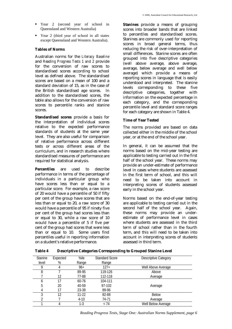- Year 2 (second year of school in Queensland and Western Australia)
- Year 2 (third year of school in all states except Queensland and Western Australia).

### **Tables of Norms**

Australian norms for the *Literacy Baseline* and *Reading Progress Tests 1 and 2* provide for the conversion of raw scores to standardised scores according to school level as defined above. The standardised scores are based on a mean of 100 and a standard deviation of 15, as in the case of the British standardised age scores. In addition to the standardised scores, the table also allows for the conversion of raw scores to percentile ranks and stanine scores.

**Standardised scores** provide a basis for the interpretation of individual scores relative to the expected performance standards of students at the same year level. They are also useful for comparison of relative performance across different tests or across different areas of the curriculum, and in research studies where standardised measures of performance are required for statistical analysis.

**Percentiles** are used to describe performance in terms of the percentage of individuals in a particular group who have scores less than or equal to a particular score. For example, a raw score of 20 would have a percentile of 50 if fifty per cent of the group have scores that are less than or equal to 20, a raw score of 30 would have a percentile of 95 if ninety five per cent of the group had scores less than or equal to 30, while a raw score of 10 would have a percentile of 5 if five per cent of the group had scores that were less than or equal to 10. Some users find percentiles useful in reporting information on a student's relative performance.

**Stanines** provide a means of grouping scores into broader bands that are linked to percentiles and standardised scores. Stanines are commonly used for reporting scores in broad general terms, thus reducing the risk of over-interpretation of small differences. Stanine scores are often grouped into five descriptive categories (well above average, above average, average, below average and well below average) which provide a means of reporting scores in language that is easily understood and interpreted. The stanine levels corresponding to these five descriptive categories, together with information on the expected percentage in each category, and the corresponding percentile level and standard score ranges for each category are shown in Table 4.

# **Time of Year Tested**

The norms provided are based on data collected either in the middle of the school year, or at the end of the school year.

In general, it can be assumed that the norms based on the mid-year testing are applicable to testing carried out in the first half of the school year. These norms may provide an under-estimate of performance level in cases where students are assessed in the first term of school, and this will need to be taken into account in interpreting scores of students assessed early in the school year.

Norms based on the end-of-year testing are applicable to testing carried out in the second half of the school year. Again, these norms may provide an underestimate of performance level in cases where students are assessed in the third term of school rather than in the fourth term, and this will need to be taken into account in interpreting scores of students assessed in third term.

| <b>Stanine</b> | Expected | %ile      | <b>Standard Score</b> | <b>Descriptive Category</b> |  |
|----------------|----------|-----------|-----------------------|-----------------------------|--|
| level          | %        | Range     | Range                 |                             |  |
|                | 4        | $96+$     | 127+                  | Well Above Average          |  |
| 8              |          | 89-95     | 119-126               | Above                       |  |
|                | 12       | 77-88     | 112-118               | Average                     |  |
| b              | 17       | $60 - 76$ | 104-111               |                             |  |
| 5              | 20       | 40-59     | 97-102                | Average                     |  |
|                | 17       | 23-39     | 89-96                 |                             |  |
| 3              | 12       | $11-22$   | 82-88                 | <b>Below</b>                |  |
|                |          | $4-10$    | 74-71                 | Average                     |  |
|                | 4        | 1-3       | < 74                  | Well Below Average          |  |

**Table 4 Descriptive Categories Corresponding to Grouped Stanine Level**

*Reading Progress Tests, Stage One: Australian Norms Supplement, page 6*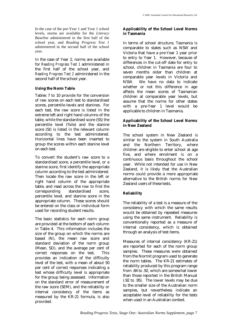In the case of the pre-Year 1 and Year 1 school levels, norms are available for the *Literacy Baseline* administered in the first half of the school year, and *Reading Progress Test 1* administered in the second half of the school year.

In the case of Year 2, norms are available for *Reading Progress Test 1* administered in the first half of the school year, and *Reading Progress Test 2* administered in the second half of the school year.

# **Using the Norm Table**

Tables 7 to 10 provide for the conversion of raw scores on each test to standardised scores, percentile levels and stanines. For each test, the raw score is listed in the extreme left and right hand columns of the table, while the standardised score (SS) the percentile level (%ile) and the stanine score (St) is listed in the relevant column according to the test administered. Horizontal lines have been inserted to group the scores within each stanine level on each test.

To convert the student's raw score to a standardised score, a percentile level, or a stanine score, first identify the appropriate column according to the test administered. Then locate the raw score in the left or right hand column of the appropriate table, and read across the row to find the corresponding standardised score, percentile level, and stanine score in the appropriate column. These scores should be entered on the class or individual form used for recording student results.

The basic statistics for each norm group are provided at the bottom of each column in Table 4. This information includes the size of the group on which the norms are based (N), the mean raw score and standard deviation of the norm group (Mean, SD), and the average per cent of correct responses on the test. This provides an indication of the difficulty level of the test, with a mean of about 50 per cent of correct responses indicating a test whose difficulty level is appropriate for the group being assessed. Information on the standard error of measurement of the raw score (SEM), and the reliability or internal consistency of the items as measured by the KR-21 formula, is also provided.

# **Applicability of the School Level Norms in Tasmania**

In terms of school structure, Tasmania is comparable to states such as NSW and Victoria that have a pre-Year 1 year prior to entry to Year 1. However, because of differences in the cut-off date for entry to school, children in Tasmania are four to seven months older than children at comparable year levels in Victoria and NSW. We have no data to indicate whether or not this difference in age affects the mean scores of Tasmanian children at comparable year levels, but assume that the norms for other states with a pre-Year 1 level would be applicable to children in Tasmania.

# **Applicability of the School Level Norms in New Zealand**

The school system in New Zealand is similar to the system in South Australia and the Northern Territory, where children are eligible to enter school at age five, and where enrolment is on a continuous basis throughout the school year. While not intended for use in New Zealand, it is likely that the Australian norms could provide a more appropriate alternative to the British norms for New Zealand users of these tests.

# **Reliability**

The reliability of a test is a measure of the consistency with which the same results would be obtained by repeated measures using the same instrument. Reliability is conventionally reported as a measure of internal consistency, which is obtained through an analysis of test items.

Measures of internal consistency (KR-21) are reported for each of the norm group samples. These measures were obtained from the Normit program used to generate the norm tables. The KR-21 estimates of reliability produced by this program range from .84 to .92, which are somewhat lower than those reported in the British Manual (.92 to .95). The lower levels may be due to the smaller size of the Australian norm samples, but nevertheless indicate an acceptable level of reliability for the tests when used in an Australian context.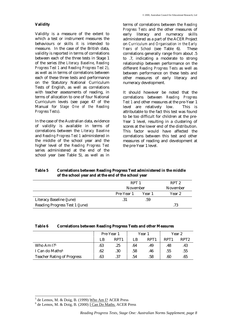# **Validity**

Validity is a measure of the extent to which a test or instrument measures the behaviours or skills it is intended to measure. In the case of the British data, validity is reported in terms of correlations between each of the three tests in Stage 1 of the series (the *Literacy Baseline*, *Reading Progress Test 1* and *Reading Progress Test 2*), as well as in terms of correlations between each of these three tests and performance on the Statutory National Curriculum Tests of English, as well as correlations with teacher assessments of reading, in terms of allocation to one of four National Curriculum levels (see page 47 of the Manual for *Stage One of the Reading Progress Tests*).

In the case of the Australian data, evidence of validity is available in terms of correlations between the *Literacy Baseline* and *Reading Progress Test 1* administered in the middle of the school year and the higher level of the *Reading Progress Test* series administered at the end of the school year (see Table 5), as well as in

terms of correlations between the *Reading Progress Tests* and the other measures of early literacy and numeracy skills administered as a part of the ACER Project on *Curriculum and Organisation in the Early Years of School* (see Table 6). These correlations generally range from about .5 to .7, indicating a moderate to strong relationship between performance on the different *Reading Progress Tests* as well as between performance on these tests and other measures of early literacy and numeracy development.

It should however be noted that the correlations between *Reading Progress Test 1* and other measures at the pre-Year 1 level are relatively low. This is attributable to the fact this test was found to be too difficult for children at the pre-Year 1 level, resulting in a clustering of scores at the lower end of the distribution. This factor would have affected the correlations between this test and other measures of reading and development at the pre-Year 1 level.

# **Table 5 Correlations between Reading Progress Test administered in the middle of the school year and at the end of the school year**

|                                       | RPT 1      |        | RPT <sub>2</sub> |
|---------------------------------------|------------|--------|------------------|
|                                       | November   |        | November         |
|                                       | Pre-Year 1 | Year 1 | Year 2           |
| Literacy Baseline (June)              | .31        | .59    |                  |
| <b>Reading Progress Test 1 (June)</b> |            |        | .73              |

| Table 6 |  |  | <b>Correlations between Reading Progress Tests and other Measures</b> |
|---------|--|--|-----------------------------------------------------------------------|
|---------|--|--|-----------------------------------------------------------------------|

|                                   |     | Pre-Year 1       |     | Year 1           | Year 2           |                  |  |
|-----------------------------------|-----|------------------|-----|------------------|------------------|------------------|--|
|                                   | LB  | RPT <sub>1</sub> | LB  | RPT <sub>1</sub> | RPT <sub>1</sub> | RPT <sub>2</sub> |  |
| Who Am I?5                        | .63 | .25              | .64 | .49              | .48              | .43              |  |
| I Can do Maths <sup>6</sup>       | .62 | .30              | .58 | .46              | .55              | .55              |  |
| <b>Teacher Rating of Progress</b> | .63 | .37              | .54 | .58              | .60              | .65              |  |

l

<sup>&</sup>lt;sup>5</sup> de Lemos, M. & Doig, B. (1999) Who Am I? ACER Press

 $6$  de Lemos, M. & Doig, B. (2000)  $\overline{I}$  Can Do Maths. ACER Press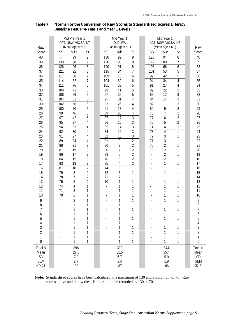|                | Mid Pre-Year 1<br>ACT, NSW, VIC, SA, NT |                     |                |  | Mid Year 1 |                                | Mid Year 1     |                |                                              |                |                     |
|----------------|-----------------------------------------|---------------------|----------------|--|------------|--------------------------------|----------------|----------------|----------------------------------------------|----------------|---------------------|
|                |                                         | (Mean Age = $5:9$ ) |                |  |            | QLD, WA<br>(Mean Age = $6:1$ ) |                |                | ACT, NSW, VIC, SA, NT<br>(Mean Age = $6:9$ ) |                |                     |
| Raw<br>Score   | SS                                      | %ile                | St             |  | SS         | %ile                           | St             | SS             | %ile                                         | St             | Raw<br>Score        |
| 40             |                                         | 99                  | 9              |  | 130        | 99                             | 9              | 123            | 94                                           | 8              | 40                  |
| 39             | $\ddot{}$<br>130                        | 98                  | 9              |  | 126        | 96                             | $\overline{8}$ | 112            | 80                                           | 7              | 39                  |
| 38             | 126                                     | 96                  | 8              |  | 120        | 91                             | 8              | 106            | 66                                           | 6              | 38                  |
| 37             | 121                                     | 92                  | 8              |  | 115        | 84                             | 7              | 101            | $\overline{53}$                              | 5              | 37                  |
| 36             | 117                                     | 88                  | $\overline{1}$ |  | 109        | $\overline{73}$                | 6              | 97             | 42                                           | 5              | 36                  |
| 35             | 114                                     | 82                  | $\overline{1}$ |  | 104        | 62                             | 6              | 94             | $\overline{34}$                              | $\overline{4}$ | 35                  |
| 34             | 111                                     | $\overline{76}$     | 6              |  | 101        | 53                             | 5              | 91             | 27                                           | 4              | 34                  |
| 33             | 108                                     | 71                  | 6              |  | 99         | 41                             | 5              | 89             | $\overline{22}$                              | 3              | 33                  |
| 32             | 106                                     | 66                  | 6              |  | 97         | 36                             | 5              | 86             | 17                                           | 3              | 32                  |
| 31             | 104                                     | 61                  | 6              |  | 95         | 31                             | 4              | 84             | 14                                           | 3              | 31                  |
| 30             | 102                                     | $\overline{56}$     | 5              |  | 93         | 26                             | 4              | 82             | 11                                           | 3              | 30                  |
| 29             | 100                                     | 50                  | 5              |  | 91         | 23                             | 4              | 80             | $\overline{9}$                               | $\overline{2}$ | 29                  |
| 28             | 99                                      | 46                  | 5              |  | 89         | 20                             | 4              | 78             | 7                                            | $\overline{2}$ | 28                  |
| 27             | 97                                      | 42                  | 5              |  | 87         | 17                             | 3              | 77             | 6                                            | $\overline{2}$ | 27                  |
| 26             | 95                                      | 37                  | $\overline{4}$ |  | 86         | 16                             | 3              | 76             | 5                                            | $\overline{2}$ | 26                  |
| 25             | 94                                      | 33                  | 4              |  | 85         | 14                             | 3              | 74             | 4                                            | $\overline{2}$ | 25                  |
| 24             | 92                                      | 30                  | 4              |  | 84         | 12                             | 3              | 73             | $\overline{4}$                               | 1              | 24                  |
| 23             | 91                                      | 27                  | 4              |  | 82         | 10                             | 3              | 72             | 3                                            | 1              | 23                  |
| 22             | 89                                      | 24                  | 4              |  | 81         | $\overline{9}$                 | $\overline{2}$ | 71             | 3                                            | 1              | 22                  |
| 21             | 88                                      | 21                  | 3              |  | 80         | 9                              | 2              | 70             | $\overline{2}$                               | 1              | 21                  |
| 20             | 87                                      | 19                  | 3              |  | 80         | 7                              | $\overline{2}$ | 70             | $\overline{2}$                               | 1              | 20                  |
| 19             | 86                                      | 17                  | $\mathfrak{Z}$ |  | 78         | 5                              | $\overline{2}$ | $\overline{a}$ | $\overline{2}$                               | 1              | 19                  |
| 18             | 84                                      | 15                  | 3              |  | 76         | 5                              | $\overline{2}$ |                | $\overline{2}$                               | 1              | 18                  |
| 17             | 83                                      | 13                  | 3              |  | 75         | $\overline{4}$                 | $\overline{2}$ |                | 1                                            | 1              | 17                  |
| 16             | 81                                      | $\overline{10}$     | $\overline{2}$ |  | 74         | $\overline{3}$                 | 1              |                | 1                                            |                | 16                  |
| 15             | 79                                      | 8                   | $\overline{c}$ |  | 72         | 3                              | 1              |                | 1                                            | 1              | 15                  |
| 14             | 78                                      | $\overline{1}$      | $\overline{2}$ |  | 71         | $\overline{2}$                 | 1              |                | 1                                            | 1              | 14                  |
| 13             | 76                                      | 6                   | $\overline{2}$ |  | 70         | 1                              | 1              |                | 1                                            | 1              | 13                  |
| 12             | 74                                      | 4                   | 1              |  |            | 1                              | 1              |                | 1                                            | 1              | 12                  |
| 11             | 71<br>70                                | 3                   | 1<br>1         |  |            | 1                              | 1              |                | 1                                            | 1              | 11                  |
| 10             |                                         | $\overline{2}$      |                |  |            | 1                              | 1              |                | 1                                            | 1              | 10                  |
| 9              |                                         | $\overline{2}$      | 1              |  |            | 1                              | 1              |                | 1                                            | 1              | 9                   |
| 8              |                                         | 1<br>1              | 1              |  |            | 1<br>1                         | 1<br>1         |                | 1<br>1                                       | 1<br>1         | 8<br>$\overline{7}$ |
| 7              |                                         | 1                   | 1<br>1         |  |            | 1                              | 1              |                | 1                                            | 1              |                     |
| 6<br>5         |                                         | 1                   | 1              |  |            | 1                              | 1              |                |                                              | 1              | 6<br>5              |
| 4              |                                         | 1                   | 1              |  |            | 1                              | 1              |                |                                              | 1              | 4                   |
| 3              |                                         | 1                   | 1              |  |            | 1                              | 1              |                |                                              | 1              | 3                   |
| 2              |                                         | 1                   | 1              |  |            | 1                              | 1              |                | 1                                            | 1              | $\overline{c}$      |
| 1              |                                         | 1                   | 1              |  |            | 1                              | 1              |                | 1                                            | 1              | 1                   |
| 0              |                                         | 1                   | 1              |  |            | 1                              | 1              |                | 1                                            | 1              | $\mathbf 0$         |
| <b>Total N</b> |                                         | 898                 |                |  |            | 390                            |                |                | 874                                          |                | <b>Total N</b>      |
| Mean           |                                         | 27.5                |                |  |            | 31.5                           |                |                | 35.4                                         |                | Mean                |
| SD             |                                         | 7.8                 |                |  |            | 6.7                            |                |                | $5.0\,$                                      |                | $\mathsf{SD}$       |
| <b>SEM</b>     |                                         | 2.7                 |                |  |            | 2.4                            |                |                | 1.9                                          |                | <b>SEM</b>          |
| <b>KR-21</b>   |                                         | .88                 |                |  |            | .87                            |                |                | .86                                          |                | <b>KR-21</b>        |

# **Table 7 Norms For the Conversion of Raw Scores to Standardised Scores: Literacy Baseline Test, Pre-Year 1 and Year 1 Levels**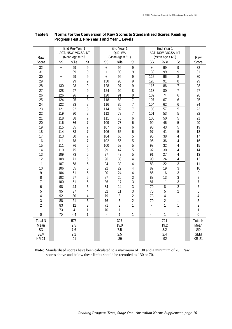|                |                 | End Pre-Year 1        |                | End Year 1               |                     |                | End Year 1               |                       |                |                |
|----------------|-----------------|-----------------------|----------------|--------------------------|---------------------|----------------|--------------------------|-----------------------|----------------|----------------|
|                |                 | ACT, NSW, VIC, SA, NT |                |                          | QLD, WA             |                |                          | ACT, NSW, VIC, SA, NT |                |                |
| Raw            |                 | (Mean Age = $5:9$ )   |                |                          | (Mean Age = $6:1$ ) |                |                          | (Mean Age = $6:9$ )   |                | Raw            |
| Score          | SS              | %ile                  | St             | SS                       | %ile                | St             | SS                       | %ile                  | St             | Score          |
| 32             | $\ddot{}$       | 99                    | 9              | $\ddot{}$                | 99                  | 9              | $\ddot{}$                | 99                    | 9              | 32             |
| 31             | $\ddot{}$       | 99                    | 9              | $^{+}$                   | 99                  | 9              | 130                      | 99                    | 9              | 31             |
| 30             | $\ddot{}$       | 99                    | 9              | $^{+}$                   | 99                  | 9              | $\overline{125}$         | 96                    | 8              | 30             |
| 29             | $\ddot{}$       | 99                    | 9              | 130                      | 98                  | 9              | 120                      | 91                    | 8              | 29             |
| 28             | 130             | 98                    | 9              | 128                      | 97                  | 9              | 116                      | 86                    | 7              | 28             |
| 27             | 128             | 97                    | 9              | 124                      | 94                  | 8              | 113                      | 80                    | 7              | 27             |
| 26             | 126             | 96                    | 9              | 120                      | 91                  | 8              | 109                      | 74                    | 6              | 26             |
| 25             | 124             | 95                    | $\overline{8}$ | $\overline{118}$         | $\overline{88}$     | 7              | 107                      | 67                    | 6              | 25             |
| 24             | 122             | 93                    | 8              | 116                      | 85                  | 7              | 104                      | 62                    | 6              | 24             |
| 23             | 121             | 92                    | 8              | 114                      | 82                  | 7              | 103                      | $\overline{57}$       | 5              | 23             |
| 22             | 119             | 90                    | 8              | 112                      | 79                  | 7              | 101                      | 53                    | 5              | 22             |
| 21             | 118             | 88                    | $\overline{1}$ | 111                      | 76                  | 6              | 100                      | 50                    | 5              | 21             |
| 20             | 116             | 86                    | 7              | 109                      | 73                  | 6              | 99                       | 46                    | 5              | 20             |
| 19             | 115             | 85                    | 7              | 107                      | 69                  | 6              | 98                       | 43                    | 5              | 19             |
| 18             | 114             | 83                    | $\overline{7}$ | 106                      | 65                  | 6              | 97                       | 41                    | 5              | 18             |
| 17             | 113             | 80                    | $\overline{7}$ | 104                      | 60                  | $\overline{5}$ | 96                       | 38                    | $\overline{4}$ | 17             |
| 16             | 111             | 78                    | 7              | 102                      | 55                  | 5              | 95                       | 36                    | 4              | 16             |
| 15             | 111             | 76                    | 6              | 100                      | 52                  | 5              | 93                       | 32                    | 4              | 15             |
| 14             | 110             | 75                    | 6              | 99                       | 47                  | 5              | 92                       | 30                    | 4              | 14             |
| 13             | 109             | 73                    | 6              | 97                       | 43                  | 5              | 91                       | 27                    | 4              | 13             |
| 12             | 108             | 71                    | 6              | 96                       | $\overline{38}$     | $\overline{4}$ | 90                       | 24                    | 4              | 12             |
| 11             | 107             | 68                    | 6              | 94                       | 33                  | 4              | $\overline{88}$          | $\overline{22}$       | $\overline{3}$ | 11             |
| 10             | 106             | 65                    | 6              | 92                       | 29                  | 4              | 87                       | 19                    | 3              | 10             |
| 9              | 104             | 61                    | 6              | 90                       | 24                  | $\overline{4}$ | 85                       | 16                    | 3              | 9              |
| 8              | 102             | $\overline{57}$       | $\overline{5}$ | $\overline{87}$          | $\overline{20}$     | $\overline{3}$ | 83                       | 13                    | 3              | 8              |
| 7              | 100             | 51                    | 5              | 86                       | 17                  | 3              | 81                       | 11                    | 3              | $\overline{1}$ |
| 6              | 98              | 44                    | 5              | 84                       | 14                  | 3              | 79                       | $\overline{8}$        | $\overline{2}$ | 6              |
| 5              | 95              | 37                    | $\overline{4}$ | 82                       | 11                  | 3              | 76                       | 5                     | 2              | 5              |
| 4              | 92              | 30                    | 4              | 79                       | $\overline{8}$      | $\overline{2}$ | $\overline{73}$          | $\overline{4}$        | 1              | 4              |
| 3              | $\overline{88}$ | $\overline{21}$       | $\overline{3}$ | 76                       | 5                   | $\overline{2}$ | 70                       | $\overline{2}$        | 1              | 3              |
| $\overline{2}$ | 83              | 12                    | 3              | $\overline{71}$          | $\overline{3}$      | $\overline{1}$ | $\overline{\phantom{0}}$ | 1                     | 1              | $\overline{2}$ |
| 1              | $\overline{73}$ | $\overline{4}$        | $\overline{1}$ | 70                       | 1                   | 1              |                          | 1                     | 1              | 1              |
| 0              | 70              | $\lt 4$               | 1              | $\overline{\phantom{a}}$ | 1                   | 1              |                          | 1                     | 1              | $\overline{0}$ |
| <b>Total N</b> |                 | 573                   |                |                          | 327                 |                |                          | 721                   |                | <b>Total N</b> |
| Mean           |                 | 9.5                   |                |                          | 15.0                |                |                          | 19.2                  |                | Mean           |
| <b>SD</b>      |                 | 7.6                   |                |                          | 7.5                 |                |                          | 8.2                   |                | SD             |
| <b>SEM</b>     |                 | 2.2                   |                |                          | 2.5                 |                |                          | 2.4                   |                | <b>SEM</b>     |
| <b>KR-21</b>   |                 | .91                   |                |                          | .89                 |                |                          | .92                   |                | <b>KR-21</b>   |

# **Table 8 Norms For the Conversion of Raw Scores to Standardised Scores: Reading Progress Test 1, Pre-Year 1 and Year 1 Levels**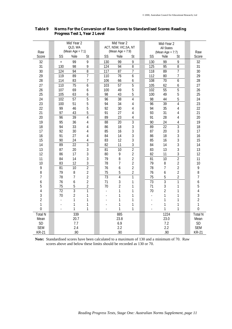|                  | Mid Year 2       |                         |                | Mid Year 2<br>ACT, NSW, VIC, SA, NT |                     |                         |  | Mid-Year 2       |                     |                |  |                  |
|------------------|------------------|-------------------------|----------------|-------------------------------------|---------------------|-------------------------|--|------------------|---------------------|----------------|--|------------------|
|                  |                  | QLD, WA                 |                |                                     |                     |                         |  |                  | <b>All States</b>   |                |  |                  |
| Raw              |                  | (Mean Age = $7:1$ )     |                |                                     | (Mean Age = $7:9$ ) |                         |  |                  | (Mean Age = $7:7$ ) |                |  | Raw              |
| Score            | SS               | %ile                    | St             | SS                                  | %ile                | St                      |  | SS               | %ile                | St             |  | Score            |
| 32               | $^{+}$           | 99                      | 9              | 130                                 | 99                  | 9                       |  | 130              | 99                  | 9              |  | 32               |
| 31               | 130              | 98                      | 9              | $\overline{124}$                    | 94                  | 8                       |  | 125              | $\overline{95}$     | $\overline{8}$ |  | 31               |
| 30               | $\overline{124}$ | 94                      | $\overline{8}$ | $\overline{117}$                    | 87                  | 7                       |  | $\overline{118}$ | 89                  | $\overline{7}$ |  | 30               |
| 29               | $\overline{119}$ | 89                      | $\overline{7}$ | 110                                 | $\overline{76}$     | 6                       |  | 112              | 80                  | 7              |  | 29               |
| 28               | 114              | 83                      | 7              | 106                                 | 66                  | 6                       |  | 108              | $\overline{70}$     | 6              |  | 28               |
| 27               | 110              | 75                      | 6              | 103                                 | 57                  | 5                       |  | 105              | 62                  | 6              |  | 27               |
| 26               | 107              | 69                      | 6              | 100                                 | 49                  | 5                       |  | 102              | $\overline{55}$     | 5              |  | 26               |
| 25               | 105              | 63                      | 6              | 98                                  | 43                  | 5                       |  | 100              | 49                  | 5              |  | 25               |
| 24               | 102              | $\overline{57}$         | $\overline{5}$ | 96                                  | $\overline{38}$     | $\overline{4}$          |  | 98               | 44                  | 5              |  | 24               |
| 23               | 100              | 51                      | 5              | 94                                  | 34                  | 4                       |  | 96               | 39                  | 4              |  | 23               |
| 22               | 99               | 46                      | 5              | 92                                  | 30                  | 4                       |  | 94               | 35                  | 4              |  | 22               |
| 21               | 97               | 43                      | 5              | 91                                  | 27                  | 4                       |  | 93               | 31                  | 4              |  | 21               |
| 20               | 96               | $\overline{39}$         | $\overline{4}$ | 89                                  | 23                  | 4                       |  | 91               | 28                  | 4              |  | 20               |
| 19               | 95               | 36                      | 4              | $\overline{88}$                     | 20                  | $\overline{3}$          |  | 90               | 24                  | 4              |  | 19               |
| 18               | 94               | 33                      | 4              | 86                                  | 18                  | 3                       |  | 89               | $\overline{22}$     | $\overline{3}$ |  | 18               |
| 17               | 92               | 30                      | 4              | 85                                  | 16                  | 3                       |  | 87               | 20                  | $\overline{3}$ |  | 17               |
| 16               | 91               | 27                      | 4              | 84                                  | 14                  | 3                       |  | 86               | 18                  | 3              |  | 16               |
| 15               | 90               | 24                      | 4              | 83                                  | 12                  | 3                       |  | 85               | 16                  | 3              |  | 15               |
| 14               | 89               | $\overline{22}$         | $\overline{3}$ | 82                                  | 11                  | 3                       |  | 84               | 14                  | 3              |  | 14               |
| 13               | 87               | 20                      | $\overline{3}$ | 81                                  | 10                  | $\overline{2}$          |  | 83               | 13                  | $\overline{3}$ |  | 13               |
| 12               | 86               | 17                      | 3              | 80                                  | 9                   | $\overline{2}$          |  | 82               | 11                  | 3              |  | 12               |
| 11               | 84               | 14                      | 3              | 79                                  | 8                   | $\overline{2}$          |  | 81               | $\overline{10}$     | $\overline{2}$ |  | 11               |
| 10               | 83               | 12                      | $\overline{3}$ | 78                                  | $\overline{7}$      | $\overline{2}$          |  | 79               | 8                   | $\overline{2}$ |  | 10               |
| 9                | 81               | $\overline{10}$         | $\overline{2}$ | 76                                  | 6                   | $\overline{2}$          |  | 78               | $\overline{7}$      | $\overline{2}$ |  | 9                |
| 8                | 79               | $\, 8$                  | $\overline{2}$ | 75                                  | 5                   | $\overline{\mathbf{c}}$ |  | 76               | 6                   | $\overline{2}$ |  | $\, 8$           |
| 7                | 78               | 7                       | $\overline{2}$ | $\overline{73}$                     | $\overline{4}$      | 1                       |  | 75               | 5                   | 2              |  | 7                |
| 6                | 76               | 6                       | $\overline{2}$ | 71                                  | 3                   | 1                       |  | 73               | $\overline{3}$      | $\mathbf{1}$   |  | 6                |
| 5                | 75               | 5                       | $\overline{2}$ | 70                                  | $\overline{2}$      | 1                       |  | 71               | 3                   | 1              |  | 5                |
| 4                | $\overline{72}$  | $\overline{3}$          | $\overline{1}$ | $\overline{a}$                      | 1                   | 1                       |  | 70               | $\overline{2}$      | 1              |  | 4                |
| 3                | 70               | $\overline{\mathbf{c}}$ | 1              |                                     | 1                   | 1                       |  | L.               | 1                   | 1              |  | 3                |
| $\overline{2}$   |                  | 1                       | 1              |                                     | 1                   | 1                       |  |                  | 1                   | 1              |  | $\overline{2}$   |
| 1                |                  | $\mathbf{1}$            | 1              |                                     | 1                   | 1                       |  |                  | 1                   | 1              |  | $\mathbf{1}$     |
| $\boldsymbol{0}$ |                  | 1                       | 1              |                                     | 1                   | 1                       |  | $\overline{a}$   | 1                   | 1              |  | $\boldsymbol{0}$ |
| <b>Total N</b>   |                  | 339                     |                |                                     | 885                 |                         |  |                  | 1224                |                |  | <b>Total N</b>   |
| Mean             |                  | 20.7                    |                |                                     | 23.8                |                         |  |                  | 23.0                |                |  | Mean             |
| SD               |                  | 7.7                     |                |                                     | 6.9                 |                         |  |                  | 7.2                 |                |  | SD               |
| <b>SEM</b>       |                  | 2.4                     |                |                                     | 2.2                 |                         |  |                  | 2.2                 |                |  | <b>SEM</b>       |
| <b>KR-21</b>     |                  | .90                     |                |                                     | .90                 |                         |  |                  | .90                 |                |  | <b>KR-21</b>     |

# **Table 9 Norms For the Conversion of Raw Scores to Standardised Scores: Reading Progress Test 1, Year 2 Level**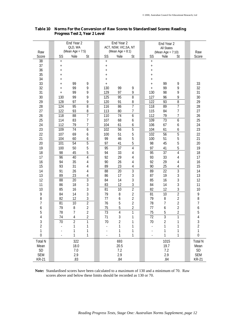|                |                     | End Year 2       |                | End Year 2<br>ACT, NSW, VIC, SA, NT |                     | End Year 2     |                        |                   |                |  |                |
|----------------|---------------------|------------------|----------------|-------------------------------------|---------------------|----------------|------------------------|-------------------|----------------|--|----------------|
|                |                     | QLD, WA          |                |                                     |                     |                |                        | <b>All States</b> |                |  |                |
| Raw            |                     | (Mean Age = 7:5) |                |                                     | (Mean Age = $8:1$ ) |                |                        | (Mean Age = 7:10) |                |  | Raw            |
| Score          | SS                  | %ile             | St             | SS                                  | %ile                | St             | SS                     | %ile              | St             |  | Score          |
| 38<br>37       | $\ddot{}$           |                  |                | $\ddot{}$                           |                     |                | $\ddot{}$              |                   |                |  |                |
| 36             | $\ddot{}$           |                  |                | $\boldsymbol{+}$                    |                     |                | $\ddot{}$              |                   |                |  |                |
| 35             | $^{+}$              |                  |                | $^{+}$                              |                     |                | $^{+}$                 |                   |                |  |                |
| 34             | $\pmb{+}$           |                  |                | $^{+}$                              |                     |                | $\ddot{}$              |                   |                |  |                |
| 33             | $\ddot{}$           | 99               | 9              | $^{+}$                              |                     |                | $^{+}$                 | 99                |                |  | 33             |
| 32             | $^{+}$<br>$\ddot{}$ | 99               | 9              | $\ddot{}$<br>130                    | 99                  | 9              | $\ddot{}$<br>$\ddot{}$ | 99                | 9<br>9         |  | 32             |
| 31             | $\ddot{}$           | 99               | 9              | 129                                 | 97                  | 9              | 130                    | 98                | 9              |  | 31             |
| 30             | 130                 | 99               | 9              | 125                                 | 95                  | 8              | 127                    | 96                | 9              |  | 30             |
| 29             | 128                 | 97               | 9              | 120                                 | 91                  | $\, 8$         | 122                    | 93                | 8              |  | 29             |
| 28             | 124                 | 95               | 8              | 116                                 | 86                  | $\overline{1}$ | 118                    | 89                | $\overline{7}$ |  | 28             |
| 27             | 122                 | 93               | 8              | 113                                 | 80                  | $\overline{1}$ | 115                    | 84                | $\overline{7}$ |  | 27             |
| 26             | 118                 | 88               | $\overline{7}$ | 110                                 | $\overline{74}$     | 6              | 112                    | 79                | $\overline{7}$ |  | 26             |
| 25             | 114                 | 83               | $\overline{7}$ | 107                                 | 68                  | 6              | 109                    | $\overline{73}$   | 6              |  | 25             |
| 24             | 112                 | 79               | 7              | 104                                 | 61                  | 6              | 106                    | 67                | 6              |  | 24             |
| 23             | 109                 | 74               | 6              | 102                                 | 56                  | $\overline{5}$ | 104                    | 61                | 6              |  | 23             |
| 22             | 107                 | 69               | 6              | 100                                 | 51                  | 5              | 102                    | $\overline{56}$   | $\overline{5}$ |  | 22             |
| 21             | 104                 | 60               | 6              | 99                                  | 46                  | 5              | 100                    | 51                | 5              |  | 21             |
| 20             | 101                 | 54               | 5              | 97                                  | 41                  | 5              | 98                     | 45                | 5              |  | 20             |
| 19             | 100                 | 50               | 5              | 95                                  | $\overline{37}$     | 4              | 97                     | 41                | 5              |  | 19             |
| 18             | 98                  | 45               | 5              | 94                                  | 33                  | 4              | 95                     | $\overline{37}$   | $\sqrt{4}$     |  | 18             |
| 17             | 96                  | 40               | 4              | 92                                  | 29                  | 4              | 93                     | 33                | 4              |  | 17             |
| 16             | 94                  | 35               | 4              | 90                                  | 26                  | 4              | 92                     | 29                | 4              |  | 16             |
| 15             | 93                  | 31               | 4              | 89                                  | 23                  | 4              | 90                     | 25                | 4              |  | 15             |
| 14             | 91                  | 26               | 4              | 88                                  | 20                  | $\overline{3}$ | 89                     | $\overline{22}$   | 3              |  | 14             |
| 13             | 89                  | 23               | 4              | 86                                  | 17                  | 3              | 87                     | 19                | 3              |  | 13             |
| 12             | 88                  | 20               | 3              | 84                                  | 14                  | 3              | 85                     | 16                | 3              |  | 12             |
| 11             | 86                  | 18               | $\mathfrak{Z}$ | 83                                  | 12                  | 3              | 84                     | 14                | 3              |  | 11             |
| 10             | 85                  | 16               | $\mathfrak{Z}$ | 81                                  | 10                  | $\overline{2}$ | 82                     | 12                | 3              |  | 10             |
| 9              | 84                  | 14               | $\mathfrak{Z}$ | 79                                  | 8                   | $\overline{2}$ | 81                     | 10                | $\overline{2}$ |  | 9              |
| 8              | 82                  | 12               | $\mathfrak{Z}$ | 77                                  | 6                   | $\overline{2}$ | 79                     | 8                 | $\overline{2}$ |  | 8              |
| 7              | 81                  | 10               | $\overline{2}$ | 76                                  | 5                   | $\overline{2}$ | 78                     | 7                 | $\overline{2}$ |  | 7              |
| 6              | 79                  | 8                | $\overline{2}$ | 75                                  | 5                   | $\overline{2}$ | 77                     | 6                 | $\sqrt{2}$     |  | 6              |
| 5              | 78                  | $\overline{1}$   | $\overline{2}$ | 73                                  | $\overline{4}$      | 1              | 75                     | 5                 | $\overline{2}$ |  | 5              |
| 4              | 74                  | 4                | 2              | 71                                  | 3                   |                | 72                     | 3                 |                |  | 4              |
| 3              | $\overline{70}$     | $\overline{2}$   | 1              | 70                                  | 2                   |                | 70                     | 2                 |                |  | 3              |
| $\overline{2}$ |                     | 1                | 1              |                                     |                     | 1              |                        | 1                 | 1              |  | $\overline{c}$ |
| 1              |                     | 1                | 1              |                                     |                     | 1              |                        | 1                 | 1              |  | 1              |
| 0              |                     | 1                | 1              |                                     | 1                   | 1              |                        | 1                 | 1              |  | $\mathbf 0$    |
| <b>Total N</b> |                     | 322              |                |                                     | 693                 |                |                        | 1015              |                |  | <b>Total N</b> |
| Mean           |                     | 18.0             |                |                                     | 20.5                |                |                        | 19.7              |                |  | Mean           |
| SD             |                     | 7.0              |                |                                     | 7.2                 |                |                        | 7.2               |                |  | SD             |
| <b>SEM</b>     |                     | 2.9              |                |                                     | 2.9                 |                |                        | 2.9               |                |  | <b>SEM</b>     |
| <b>KR-21</b>   |                     | .83              |                |                                     | .84                 |                |                        | .84               |                |  | <b>KR-21</b>   |

# **Table 10 Norms For the Conversion of Raw Scores to Standardised Scores: Reading Progress Test 2, Year 2 Level**